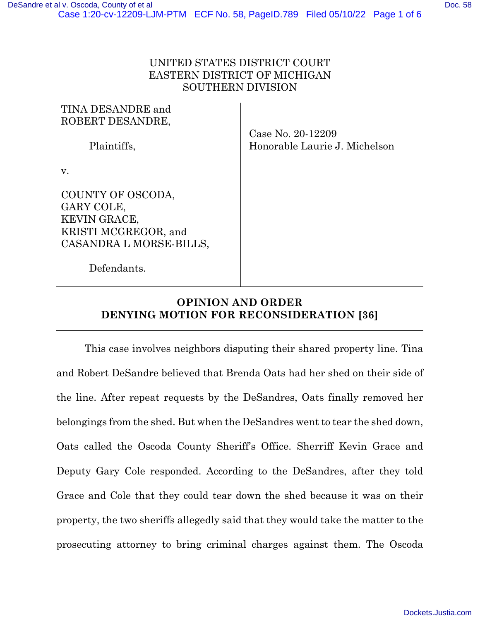## UNITED STATES DISTRICT COURT EASTERN DISTRICT OF MICHIGAN SOUTHERN DIVISION

| TINA DESANDRE and<br>ROBERT DESANDRE,                                                                     |                                                    |
|-----------------------------------------------------------------------------------------------------------|----------------------------------------------------|
| Plaintiffs.                                                                                               | Case No. 20-12209<br>Honorable Laurie J. Michelson |
| V.                                                                                                        |                                                    |
| COUNTY OF OSCODA,<br>GARY COLE,<br><b>KEVIN GRACE,</b><br>KRISTI MCGREGOR, and<br>CASANDRA L MORSE-BILLS, |                                                    |
| Defendants.                                                                                               |                                                    |

## **OPINION AND ORDER DENYING MOTION FOR RECONSIDERATION [36]**

This case involves neighbors disputing their shared property line. Tina and Robert DeSandre believed that Brenda Oats had her shed on their side of the line. After repeat requests by the DeSandres, Oats finally removed her belongings from the shed. But when the DeSandres went to tear the shed down, Oats called the Oscoda County Sheriff's Office. Sherriff Kevin Grace and Deputy Gary Cole responded. According to the DeSandres, after they told Grace and Cole that they could tear down the shed because it was on their property, the two sheriffs allegedly said that they would take the matter to the prosecuting attorney to bring criminal charges against them. The Oscoda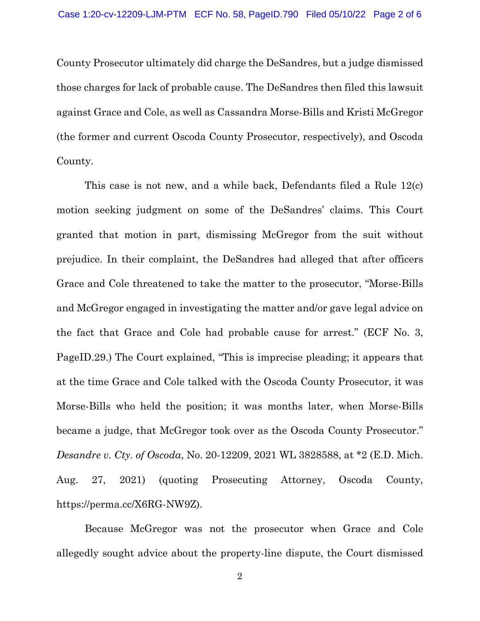County Prosecutor ultimately did charge the DeSandres, but a judge dismissed those charges for lack of probable cause. The DeSandres then filed this lawsuit against Grace and Cole, as well as Cassandra Morse-Bills and Kristi McGregor (the former and current Oscoda County Prosecutor, respectively), and Oscoda County.

This case is not new, and a while back, Defendants filed a Rule 12(c) motion seeking judgment on some of the DeSandres' claims. This Court granted that motion in part, dismissing McGregor from the suit without prejudice. In their complaint, the DeSandres had alleged that after officers Grace and Cole threatened to take the matter to the prosecutor, "Morse-Bills and McGregor engaged in investigating the matter and/or gave legal advice on the fact that Grace and Cole had probable cause for arrest." (ECF No. 3, PageID.29.) The Court explained, "This is imprecise pleading; it appears that at the time Grace and Cole talked with the Oscoda County Prosecutor, it was Morse-Bills who held the position; it was months later, when Morse-Bills became a judge, that McGregor took over as the Oscoda County Prosecutor." *Desandre v. Cty. of Oscoda*, No. 20-12209, 2021 WL 3828588, at \*2 (E.D. Mich. Aug. 27, 2021) (quoting Prosecuting Attorney, Oscoda County, https://perma.cc/X6RG-NW9Z).

Because McGregor was not the prosecutor when Grace and Cole allegedly sought advice about the property-line dispute, the Court dismissed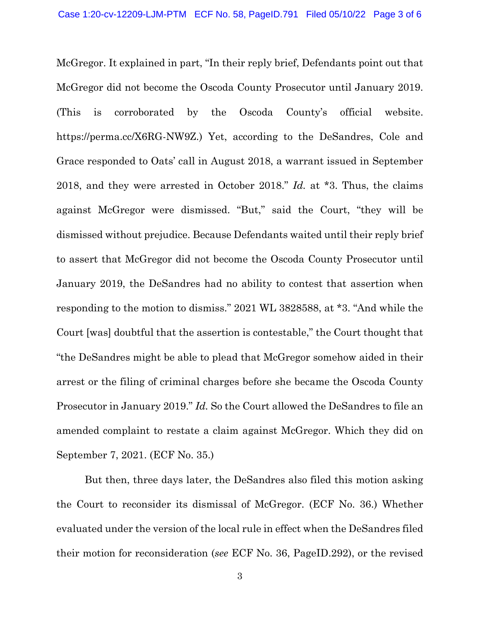McGregor. It explained in part, "In their reply brief, Defendants point out that McGregor did not become the Oscoda County Prosecutor until January 2019. (This is corroborated by the Oscoda County's official website. https://perma.cc/X6RG-NW9Z.) Yet, according to the DeSandres, Cole and Grace responded to Oats' call in August 2018, a warrant issued in September 2018, and they were arrested in October 2018." *Id.* at \*3. Thus, the claims against McGregor were dismissed. "But," said the Court, "they will be dismissed without prejudice. Because Defendants waited until their reply brief to assert that McGregor did not become the Oscoda County Prosecutor until January 2019, the DeSandres had no ability to contest that assertion when responding to the motion to dismiss." 2021 WL 3828588, at \*3. "And while the Court [was] doubtful that the assertion is contestable," the Court thought that "the DeSandres might be able to plead that McGregor somehow aided in their arrest or the filing of criminal charges before she became the Oscoda County Prosecutor in January 2019." *Id.* So the Court allowed the DeSandres to file an amended complaint to restate a claim against McGregor. Which they did on September 7, 2021. (ECF No. 35.)

But then, three days later, the DeSandres also filed this motion asking the Court to reconsider its dismissal of McGregor. (ECF No. 36.) Whether evaluated under the version of the local rule in effect when the DeSandres filed their motion for reconsideration (*see* ECF No. 36, PageID.292), or the revised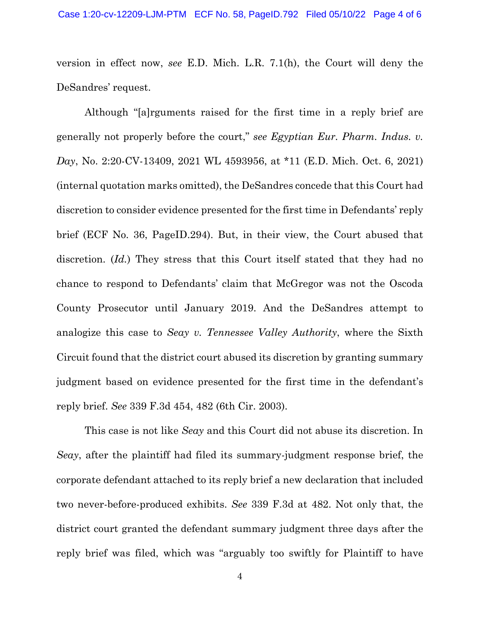version in effect now, *see* E.D. Mich. L.R. 7.1(h), the Court will deny the DeSandres' request.

Although "[a]rguments raised for the first time in a reply brief are generally not properly before the court," *see Egyptian Eur. Pharm. Indus. v. Day*, No. 2:20-CV-13409, 2021 WL 4593956, at \*11 (E.D. Mich. Oct. 6, 2021) (internal quotation marks omitted), the DeSandres concede that this Court had discretion to consider evidence presented for the first time in Defendants' reply brief (ECF No. 36, PageID.294). But, in their view, the Court abused that discretion. (*Id.*) They stress that this Court itself stated that they had no chance to respond to Defendants' claim that McGregor was not the Oscoda County Prosecutor until January 2019. And the DeSandres attempt to analogize this case to *Seay v. Tennessee Valley Authority*, where the Sixth Circuit found that the district court abused its discretion by granting summary judgment based on evidence presented for the first time in the defendant's reply brief. *See* 339 F.3d 454, 482 (6th Cir. 2003).

This case is not like *Seay* and this Court did not abuse its discretion. In *Seay*, after the plaintiff had filed its summary-judgment response brief, the corporate defendant attached to its reply brief a new declaration that included two never-before-produced exhibits. *See* 339 F.3d at 482. Not only that, the district court granted the defendant summary judgment three days after the reply brief was filed, which was "arguably too swiftly for Plaintiff to have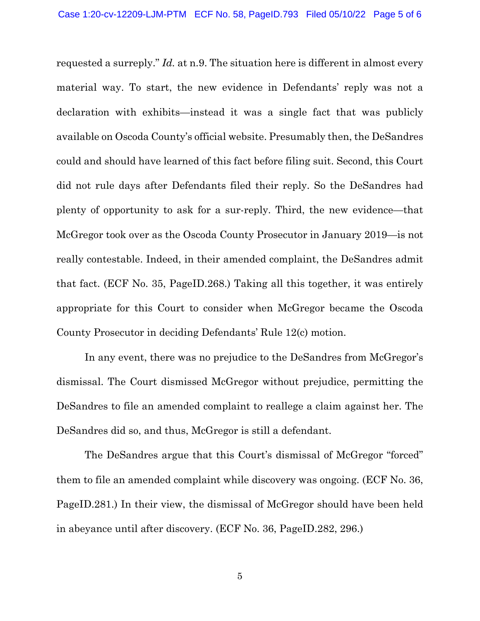requested a surreply." *Id.* at n.9. The situation here is different in almost every material way. To start, the new evidence in Defendants' reply was not a declaration with exhibits—instead it was a single fact that was publicly available on Oscoda County's official website. Presumably then, the DeSandres could and should have learned of this fact before filing suit. Second, this Court did not rule days after Defendants filed their reply. So the DeSandres had plenty of opportunity to ask for a sur-reply. Third, the new evidence—that McGregor took over as the Oscoda County Prosecutor in January 2019—is not really contestable. Indeed, in their amended complaint, the DeSandres admit that fact. (ECF No. 35, PageID.268.) Taking all this together, it was entirely appropriate for this Court to consider when McGregor became the Oscoda County Prosecutor in deciding Defendants' Rule 12(c) motion.

In any event, there was no prejudice to the DeSandres from McGregor's dismissal. The Court dismissed McGregor without prejudice, permitting the DeSandres to file an amended complaint to reallege a claim against her. The DeSandres did so, and thus, McGregor is still a defendant.

The DeSandres argue that this Court's dismissal of McGregor "forced" them to file an amended complaint while discovery was ongoing. (ECF No. 36, PageID.281.) In their view, the dismissal of McGregor should have been held in abeyance until after discovery. (ECF No. 36, PageID.282, 296.)